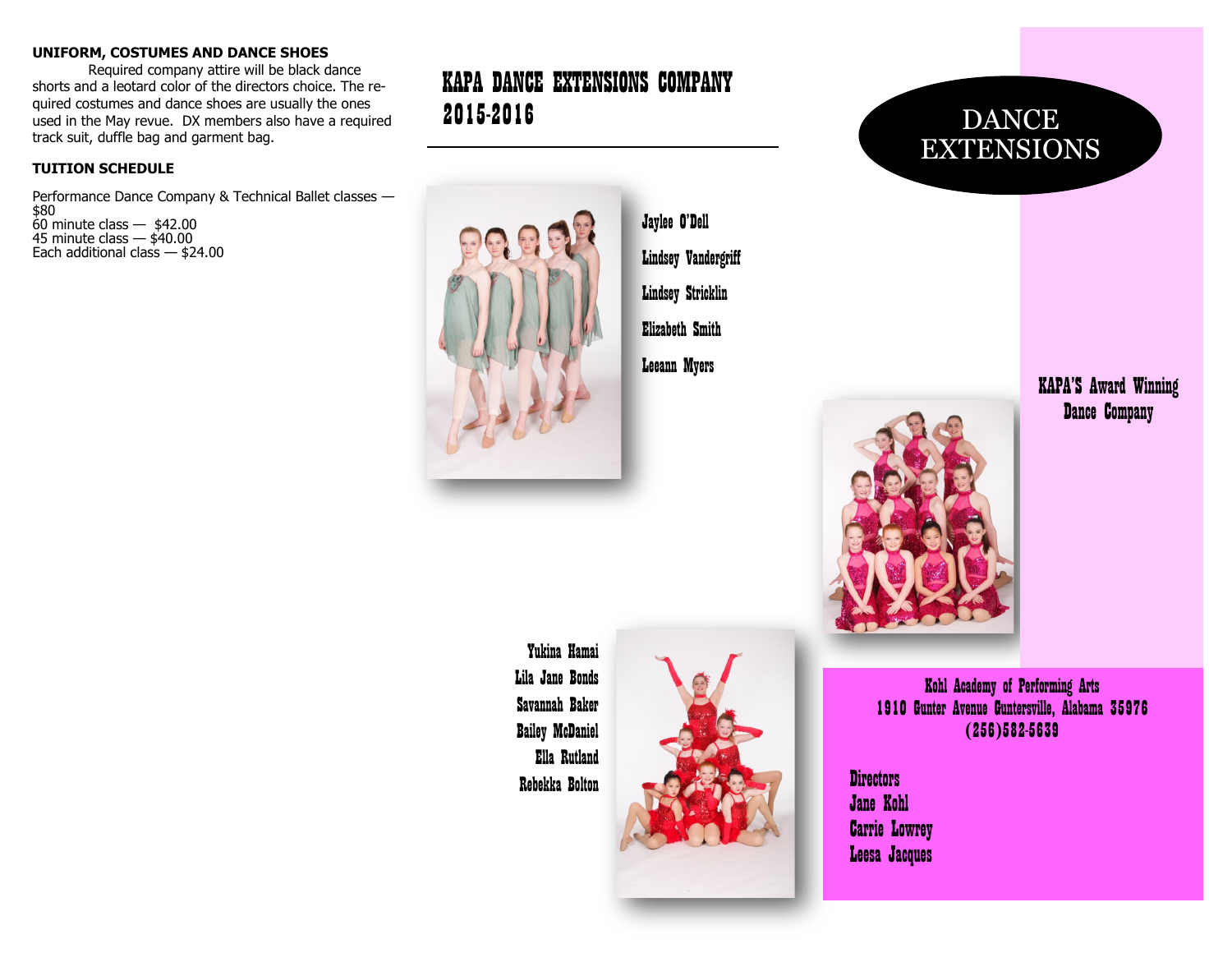#### **UNIFORM, COSTUMES AND DANCE SHOES**

Required company attire will be black dance shorts and a leotard color of the directors choice. The required costumes and dance shoes are usually the ones used in the May revue. DX members also have a required track suit, duffle bag and garment bag.

#### **TUITION SCHEDULE**

Performance Dance Company & Technical Ballet classes — \$80  $60$  minute class  $-$  \$42.00 45 minute class  $-$  \$40.00 Each additional class — \$24.00

# KAPA DANCE EXTENSIONS COMPANY 2015-2016



Jaylee O'Dell Lindsey Vandergriff Lindsey Stricklin Elizabeth Smith Leeann Myers

DANCE EXTENSIONS

# KAPA'S Award Winning Dance Company

Yukina Hamai Lila Jane Bonds Savannah Baker Bailey McDaniel Ella Rutland Rebekka Bolton



Kohl Academy of Performing Arts 1910 Gunter Avenue Guntersville, Alabama 35976 (256)582-5639

Directors Jane Kohl Carrie Lowrey Leesa Jacques